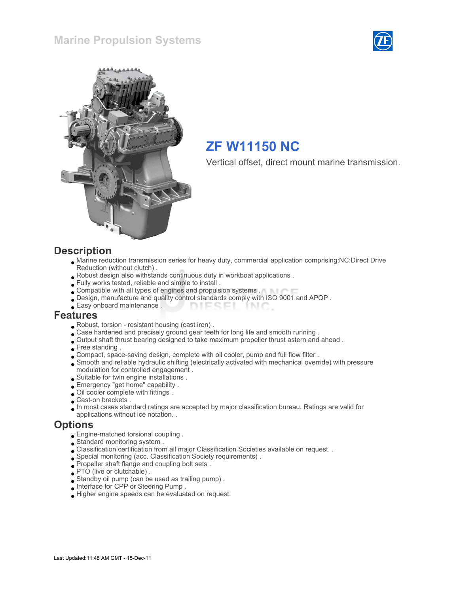



# ZF W11150 NC

Vertical offset, direct mount marine transmission.

#### **Description**

- Marine reduction transmission series for heavy duty, commercial application comprising:NC:Direct Drive Reduction (without clutch) .
- Robust design also withstands continuous duty in workboat applications .
- Fully works tested, reliable and simple to install .
- Compatible with all types of engines and propulsion systems .
- Design, manufacture and quality control standards comply with ISO 9001 and APQP .
- Easy onboard maintenance . **DIESEI** INC.

#### Features

- Robust, torsion resistant housing (cast iron) .
- . Case hardened and precisely ground gear teeth for long life and smooth running .
- Output shaft thrust bearing designed to take maximum propeller thrust astern and ahead .
- Free standing .
- Compact, space-saving design, complete with oil cooler, pump and full flow filter .
- Smooth and reliable hydraulic shifting (electrically activated with mechanical override) with pressure modulation for controlled engagement .
- Suitable for twin engine installations .
- Emergency "get home" capability .
- Oil cooler complete with fittings .
- Cast-on brackets .
- In most cases standard ratings are accepted by major classification bureau. Ratings are valid for applications without ice notation. .

#### **Options**

- Engine-matched torsional coupling .
- Standard monitoring system .
- Classification certification from all major Classification Societies available on request. .
- Special monitoring (acc. Classification Society requirements) .
- Propeller shaft flange and coupling bolt sets .
- PTO (live or clutchable) .
- Standby oil pump (can be used as trailing pump) .
- Interface for CPP or Steering Pump .
- Higher engine speeds can be evaluated on request.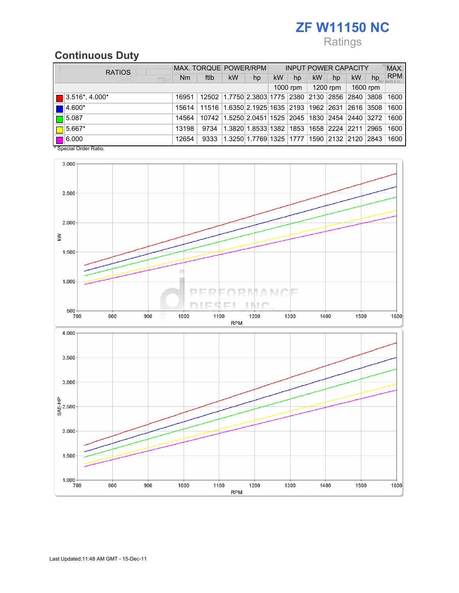# ZF W11150 NC

# Ratings

# Continuous Duty

| <b>RATIOS</b>                                                                     | MAX. TORQUE POWER/RPM |                                                                                  |           | <b>INPUT POWER CAPACITY</b>                            |          |    |           |    | MAX. |    |            |
|-----------------------------------------------------------------------------------|-----------------------|----------------------------------------------------------------------------------|-----------|--------------------------------------------------------|----------|----|-----------|----|------|----|------------|
| <b>FR</b>                                                                         | <b>Nm</b>             | ftlb                                                                             | <b>kW</b> | hp                                                     | kW       | hp | <b>kW</b> | hp | kW   | hp | <b>RPM</b> |
|                                                                                   | $1000$ rpm            |                                                                                  | 1200 rpm  |                                                        | 1600 rpm |    |           |    |      |    |            |
| $\blacksquare$ 3.516*, 4.000*                                                     |                       | 16951   12502   1.7750   2.3803   1775   2380   2130   2856   2840   3808   1600 |           |                                                        |          |    |           |    |      |    |            |
| $\blacksquare$ 4.600*                                                             |                       | 15614   11516   1.6350   2.1925   1635   2193   1962   2631   2616   3508   1600 |           |                                                        |          |    |           |    |      |    |            |
|                                                                                   | 14564                 |                                                                                  |           | 10742 1.5250 2.0451 1525 2045 1830 2454 2440 3272 1600 |          |    |           |    |      |    |            |
|                                                                                   | 13198                 | 9734                                                                             |           | 1.3820 1.8533 1382 1853 1658 2224 2211 2965 1600       |          |    |           |    |      |    |            |
|                                                                                   | 12654                 | 9333                                                                             |           | 1.3250 1.7769 1325 1777 1590 2132 2120 2843 1600       |          |    |           |    |      |    |            |
| $\boxed{\Box}$ 5.087<br>$\Box$ 5.667*<br>$\Box$ 6.000<br>$*$ Consolel Order Potio |                       |                                                                                  |           |                                                        |          |    |           |    |      |    |            |



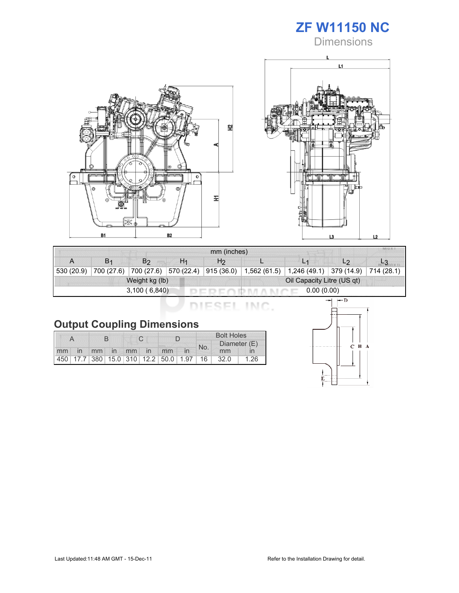

**Dimensions** 





| mm (inches)                |                |                |                       |                            |  |                              |                                       |  |  |
|----------------------------|----------------|----------------|-----------------------|----------------------------|--|------------------------------|---------------------------------------|--|--|
| A                          | B <sub>1</sub> | B <sub>2</sub> | H1                    | H <sub>2</sub>             |  |                              | L <sub>2</sub>                        |  |  |
| 530 (20.9)                 | 700 (27.6)     |                | 700 (27.6) 570 (22.4) | 915(36.0)                  |  | $1,562(61.5)$   1,246 (49.1) | $\vert$ 379 (14.9) $\vert$ 714 (28.1) |  |  |
|                            |                | Weight kg (lb) |                       | Oil Capacity Litre (US qt) |  |                              |                                       |  |  |
| 3,100(6,840)<br>0.00(0.00) |                |                |                       |                            |  |                              |                                       |  |  |

DIESEL INC.

|  |  | <b>Output Coupling Dimensions</b> |
|--|--|-----------------------------------|
|--|--|-----------------------------------|

|    |                          |  |  |  |             |                                         |  | <b>Bolt Holes</b> |              |      |  |
|----|--------------------------|--|--|--|-------------|-----------------------------------------|--|-------------------|--------------|------|--|
|    |                          |  |  |  |             |                                         |  | No.               | Diameter (E) |      |  |
| mm | $\overline{\mathsf{in}}$ |  |  |  | mm in mm in | mm                                      |  |                   | mm           |      |  |
|    |                          |  |  |  |             | 450 17.7 380 15.0 310 12.2 50.0 1.97 16 |  |                   | 32.0         | 1.26 |  |